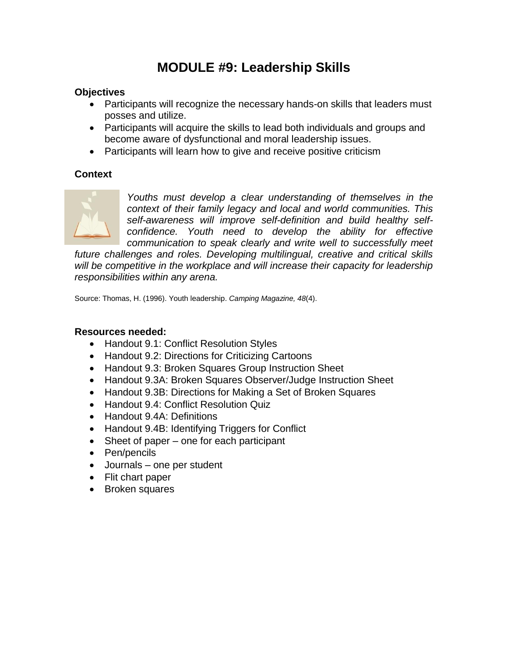## **MODULE #9: Leadership Skills**

#### **Objectives**

- Participants will recognize the necessary hands-on skills that leaders must posses and utilize.
- Participants will acquire the skills to lead both individuals and groups and become aware of dysfunctional and moral leadership issues.
- Participants will learn how to give and receive positive criticism

#### **Context**



*Youths must develop a clear understanding of themselves in the context of their family legacy and local and world communities. This self-awareness will improve self-definition and build healthy selfconfidence. Youth need to develop the ability for effective communication to speak clearly and write well to successfully meet* 

*future challenges and roles. Developing multilingual, creative and critical skills will be competitive in the workplace and will increase their capacity for leadership responsibilities within any arena.* 

Source: Thomas, H. (1996). Youth leadership. *Camping Magazine, 48*(4).

#### **Resources needed:**

- Handout 9.1: Conflict Resolution Styles
- Handout 9.2: Directions for Criticizing Cartoons
- Handout 9.3: Broken Squares Group Instruction Sheet
- Handout 9.3A: Broken Squares Observer/Judge Instruction Sheet
- Handout 9.3B: Directions for Making a Set of Broken Squares
- Handout 9.4: Conflict Resolution Quiz
- Handout 9.4A: Definitions
- Handout 9.4B: Identifying Triggers for Conflict
- Sheet of paper one for each participant
- Pen/pencils
- Journals one per student
- Flit chart paper
- Broken squares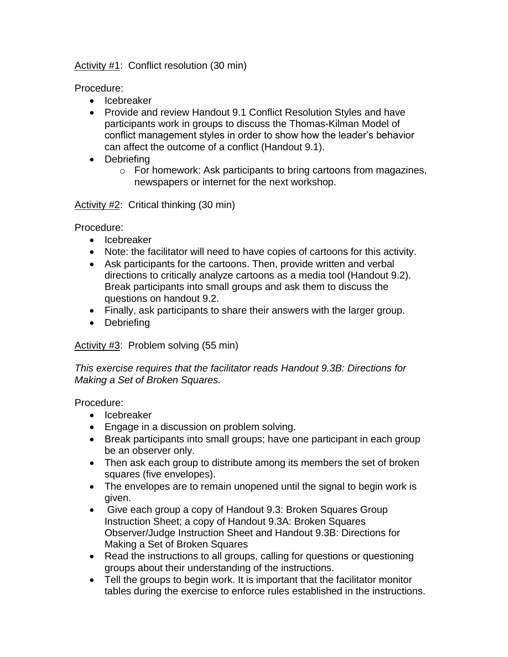Activity #1: Conflict resolution (30 min)

Procedure:

- Icebreaker
- Provide and review Handout 9.1 Conflict Resolution Styles and have participants work in groups to discuss the Thomas-Kilman Model of conflict management styles in order to show how the leader's behavior can affect the outcome of a conflict (Handout 9.1).
- Debriefing
	- o For homework: Ask participants to bring cartoons from magazines, newspapers or internet for the next workshop.

Activity #2: Critical thinking (30 min)

Procedure:

- Icebreaker
- Note: the facilitator will need to have copies of cartoons for this activity.
- Ask participants for the cartoons. Then, provide written and verbal directions to critically analyze cartoons as a media tool (Handout 9.2). Break participants into small groups and ask them to discuss the questions on handout 9.2.
- Finally, ask participants to share their answers with the larger group.
- Debriefing

#### Activity #3: Problem solving (55 min)

*This exercise requires that the facilitator reads Handout 9.3B: Directions for Making a Set of Broken Squares.*

Procedure:

- Icebreaker
- Engage in a discussion on problem solving.
- Break participants into small groups; have one participant in each group be an observer only.
- Then ask each group to distribute among its members the set of broken squares (five envelopes).
- The envelopes are to remain unopened until the signal to begin work is given.
- Give each group a copy of Handout 9.3: Broken Squares Group Instruction Sheet; a copy of Handout 9.3A: Broken Squares Observer/Judge Instruction Sheet and Handout 9.3B: Directions for Making a Set of Broken Squares
- Read the instructions to all groups, calling for questions or questioning groups about their understanding of the instructions.
- Tell the groups to begin work. It is important that the facilitator monitor tables during the exercise to enforce rules established in the instructions.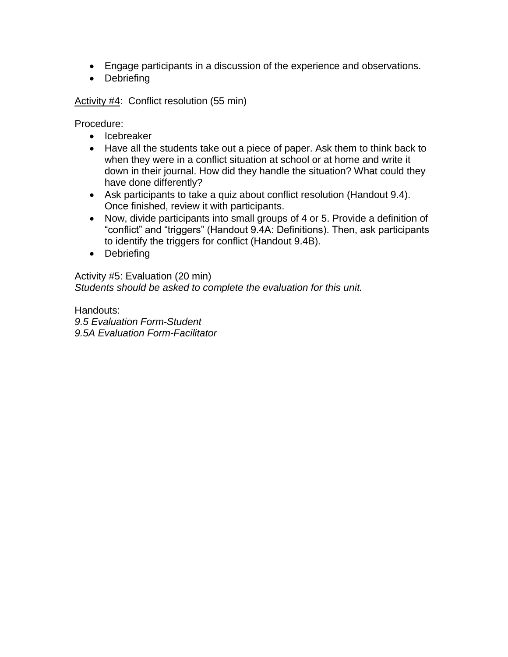- Engage participants in a discussion of the experience and observations.
- Debriefing

Activity #4: Conflict resolution (55 min)

Procedure:

- Icebreaker
- Have all the students take out a piece of paper. Ask them to think back to when they were in a conflict situation at school or at home and write it down in their journal. How did they handle the situation? What could they have done differently?
- Ask participants to take a quiz about conflict resolution (Handout 9.4). Once finished, review it with participants.
- Now, divide participants into small groups of 4 or 5. Provide a definition of "conflict" and "triggers" (Handout 9.4A: Definitions). Then, ask participants to identify the triggers for conflict (Handout 9.4B).
- Debriefing

Activity #5: Evaluation (20 min) *Students should be asked to complete the evaluation for this unit.*

Handouts: *9.5 Evaluation Form-Student 9.5A Evaluation Form-Facilitator*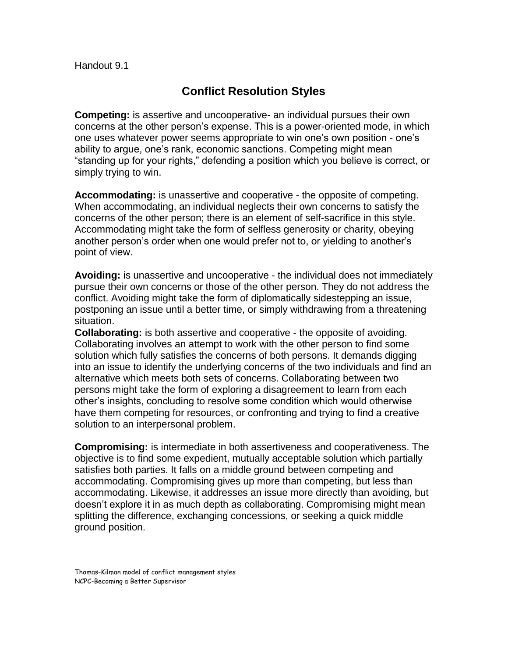Handout 9.1

#### **Conflict Resolution Styles**

**Competing:** is assertive and uncooperative- an individual pursues their own concerns at the other person's expense. This is a power-oriented mode, in which one uses whatever power seems appropriate to win one's own position - one's ability to argue, one's rank, economic sanctions. Competing might mean ―standing up for your rights,‖ defending a position which you believe is correct, or simply trying to win.

**Accommodating:** is unassertive and cooperative - the opposite of competing. When accommodating, an individual neglects their own concerns to satisfy the concerns of the other person; there is an element of self-sacrifice in this style. Accommodating might take the form of selfless generosity or charity, obeying another person's order when one would prefer not to, or yielding to another's point of view.

**Avoiding:** is unassertive and uncooperative - the individual does not immediately pursue their own concerns or those of the other person. They do not address the conflict. Avoiding might take the form of diplomatically sidestepping an issue, postponing an issue until a better time, or simply withdrawing from a threatening situation.

**Collaborating:** is both assertive and cooperative - the opposite of avoiding. Collaborating involves an attempt to work with the other person to find some solution which fully satisfies the concerns of both persons. It demands digging into an issue to identify the underlying concerns of the two individuals and find an alternative which meets both sets of concerns. Collaborating between two persons might take the form of exploring a disagreement to learn from each other's insights, concluding to resolve some condition which would otherwise have them competing for resources, or confronting and trying to find a creative solution to an interpersonal problem.

**Compromising:** is intermediate in both assertiveness and cooperativeness. The objective is to find some expedient, mutually acceptable solution which partially satisfies both parties. It falls on a middle ground between competing and accommodating. Compromising gives up more than competing, but less than accommodating. Likewise, it addresses an issue more directly than avoiding, but doesn't explore it in as much depth as collaborating. Compromising might mean splitting the difference, exchanging concessions, or seeking a quick middle ground position.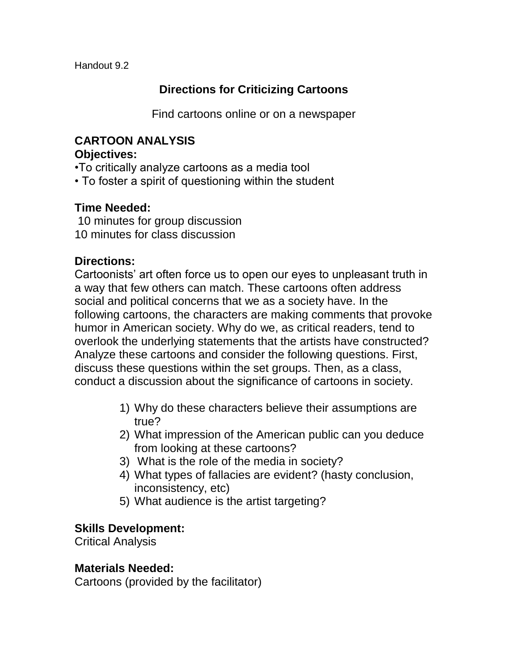Handout 9.2

## **Directions for Criticizing Cartoons**

Find cartoons online or on a newspaper

#### **CARTOON ANALYSIS Objectives:**

•To critically analyze cartoons as a media tool

• To foster a spirit of questioning within the student

## **Time Needed:**

10 minutes for group discussion 10 minutes for class discussion

## **Directions:**

Cartoonists' art often force us to open our eyes to unpleasant truth in a way that few others can match. These cartoons often address social and political concerns that we as a society have. In the following cartoons, the characters are making comments that provoke humor in American society. Why do we, as critical readers, tend to overlook the underlying statements that the artists have constructed? Analyze these cartoons and consider the following questions. First, discuss these questions within the set groups. Then, as a class, conduct a discussion about the significance of cartoons in society.

- 1) Why do these characters believe their assumptions are true?
- 2) What impression of the American public can you deduce from looking at these cartoons?
- 3) What is the role of the media in society?
- 4) What types of fallacies are evident? (hasty conclusion, inconsistency, etc)
- 5) What audience is the artist targeting?

## **Skills Development:**

Critical Analysis

#### **Materials Needed:**

Cartoons (provided by the facilitator)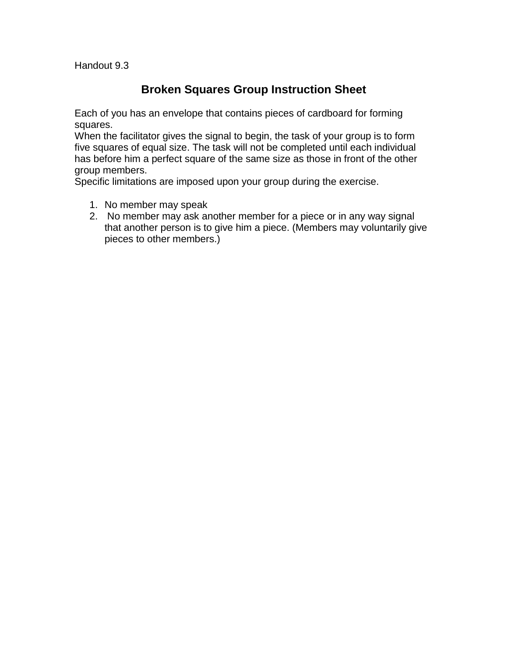Handout 9.3

## **Broken Squares Group Instruction Sheet**

Each of you has an envelope that contains pieces of cardboard for forming squares.

When the facilitator gives the signal to begin, the task of your group is to form five squares of equal size. The task will not be completed until each individual has before him a perfect square of the same size as those in front of the other group members.

Specific limitations are imposed upon your group during the exercise.

- 1. No member may speak
- 2. No member may ask another member for a piece or in any way signal that another person is to give him a piece. (Members may voluntarily give pieces to other members.)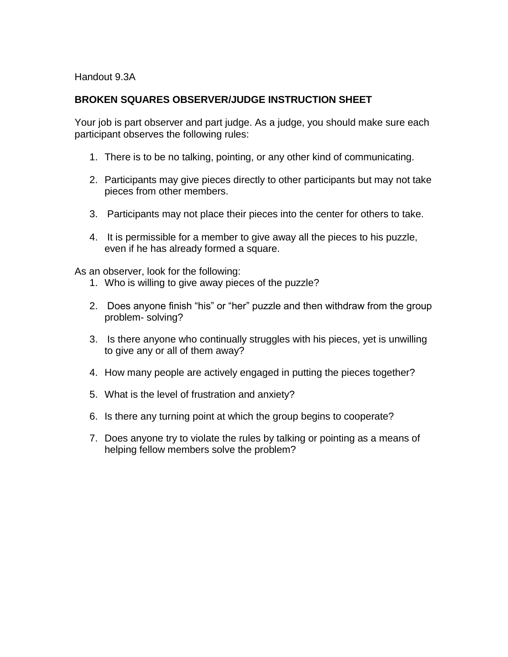Handout 9.3A

#### **BROKEN SQUARES OBSERVER/JUDGE INSTRUCTION SHEET**

Your job is part observer and part judge. As a judge, you should make sure each participant observes the following rules:

- 1. There is to be no talking, pointing, or any other kind of communicating.
- 2. Participants may give pieces directly to other participants but may not take pieces from other members.
- 3. Participants may not place their pieces into the center for others to take.
- 4. It is permissible for a member to give away all the pieces to his puzzle, even if he has already formed a square.

As an observer, look for the following:

- 1. Who is willing to give away pieces of the puzzle?
- 2. Does anyone finish "his" or "her" puzzle and then withdraw from the group problem- solving?
- 3. Is there anyone who continually struggles with his pieces, yet is unwilling to give any or all of them away?
- 4. How many people are actively engaged in putting the pieces together?
- 5. What is the level of frustration and anxiety?
- 6. Is there any turning point at which the group begins to cooperate?
- 7. Does anyone try to violate the rules by talking or pointing as a means of helping fellow members solve the problem?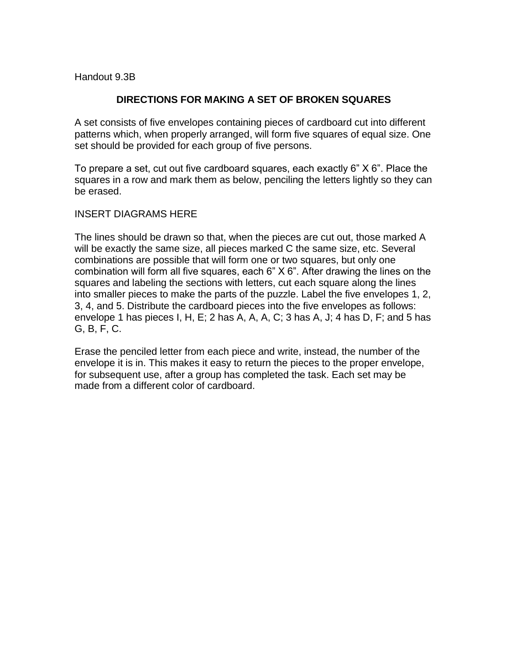Handout 9.3B

#### **DIRECTIONS FOR MAKING A SET OF BROKEN SQUARES**

A set consists of five envelopes containing pieces of cardboard cut into different patterns which, when properly arranged, will form five squares of equal size. One set should be provided for each group of five persons.

To prepare a set, cut out five cardboard squares, each exactly  $6$ "  $X$   $6$ ". Place the squares in a row and mark them as below, penciling the letters lightly so they can be erased.

#### INSERT DIAGRAMS HERE

The lines should be drawn so that, when the pieces are cut out, those marked A will be exactly the same size, all pieces marked C the same size, etc. Several combinations are possible that will form one or two squares, but only one combination will form all five squares, each  $6$ "  $X$   $6$ ". After drawing the lines on the squares and labeling the sections with letters, cut each square along the lines into smaller pieces to make the parts of the puzzle. Label the five envelopes 1, 2, 3, 4, and 5. Distribute the cardboard pieces into the five envelopes as follows: envelope 1 has pieces I, H, E; 2 has A, A, A, C; 3 has A, J; 4 has D, F; and 5 has G, B, F, C.

Erase the penciled letter from each piece and write, instead, the number of the envelope it is in. This makes it easy to return the pieces to the proper envelope, for subsequent use, after a group has completed the task. Each set may be made from a different color of cardboard.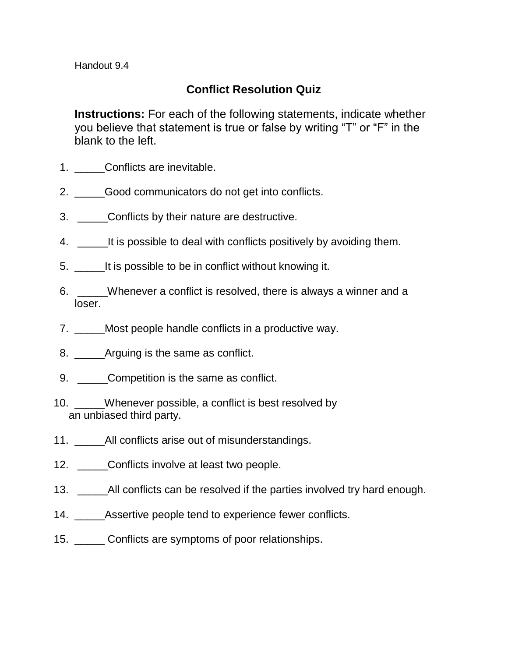## **Conflict Resolution Quiz**

**Instructions:** For each of the following statements, indicate whether you believe that statement is true or false by writing "T" or "F" in the blank to the left.

- 1. Conflicts are inevitable.
- 2. \_\_\_\_\_Good communicators do not get into conflicts.
- 3. Conflicts by their nature are destructive.
- 4. \_\_\_\_\_\_\_\_It is possible to deal with conflicts positively by avoiding them.
- 5. \_\_\_\_\_It is possible to be in conflict without knowing it.
- 6. \_\_\_\_\_Whenever a conflict is resolved, there is always a winner and a loser.
- 7. Most people handle conflicts in a productive way.
- 8. \_\_\_\_\_Arguing is the same as conflict.
- 9. \_\_\_\_\_Competition is the same as conflict.
- 10. Whenever possible, a conflict is best resolved by an unbiased third party.
- 11. All conflicts arise out of misunderstandings.
- 12. \_\_\_\_\_Conflicts involve at least two people.
- 13. All conflicts can be resolved if the parties involved try hard enough.
- 14. \_\_\_\_\_\_\_\_\_Assertive people tend to experience fewer conflicts.
- 15. \_\_\_\_\_ Conflicts are symptoms of poor relationships.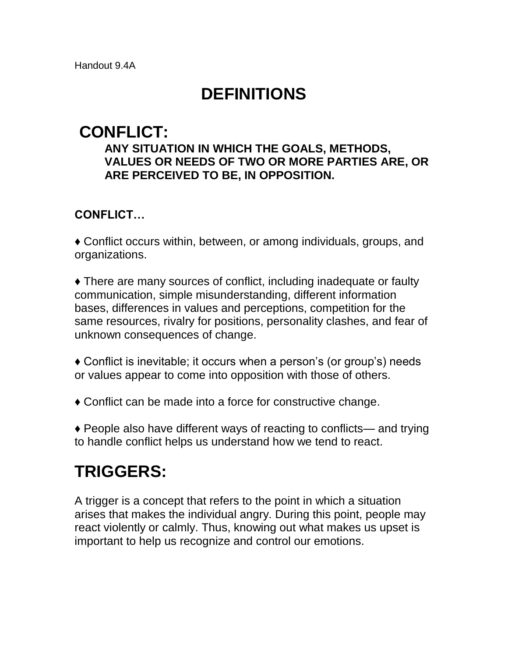## **DEFINITIONS**

# **CONFLICT:**

## **ANY SITUATION IN WHICH THE GOALS, METHODS, VALUES OR NEEDS OF TWO OR MORE PARTIES ARE, OR ARE PERCEIVED TO BE, IN OPPOSITION.**

#### **CONFLICT…**

♦ Conflict occurs within, between, or among individuals, groups, and organizations.

♦ There are many sources of conflict, including inadequate or faulty communication, simple misunderstanding, different information bases, differences in values and perceptions, competition for the same resources, rivalry for positions, personality clashes, and fear of unknown consequences of change.

♦ Conflict is inevitable; it occurs when a person's (or group's) needs or values appear to come into opposition with those of others.

♦ Conflict can be made into a force for constructive change.

♦ People also have different ways of reacting to conflicts— and trying to handle conflict helps us understand how we tend to react.

# **TRIGGERS:**

A trigger is a concept that refers to the point in which a situation arises that makes the individual angry. During this point, people may react violently or calmly. Thus, knowing out what makes us upset is important to help us recognize and control our emotions.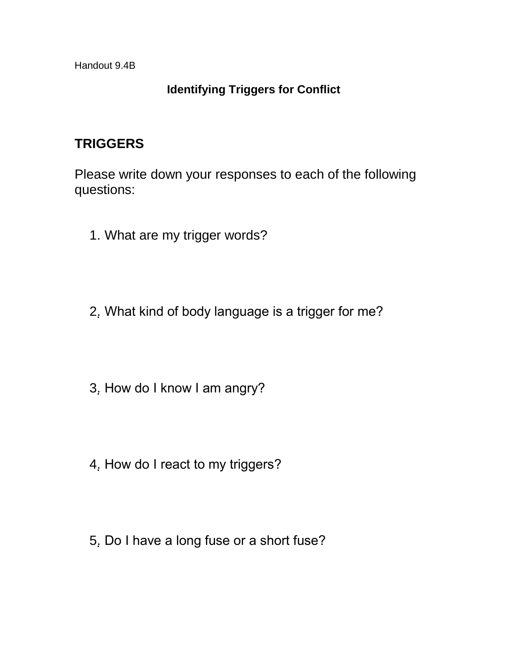Handout 9.4B

## **Identifying Triggers for Conflict**

## **TRIGGERS**

Please write down your responses to each of the following questions:

- 1. What are my trigger words?
- 2. What kind of body language is a trigger for me?
- 3. How do I know I am angry?
- 4. How do I react to my triggers?
- 5. Do I have a long fuse or a short fuse?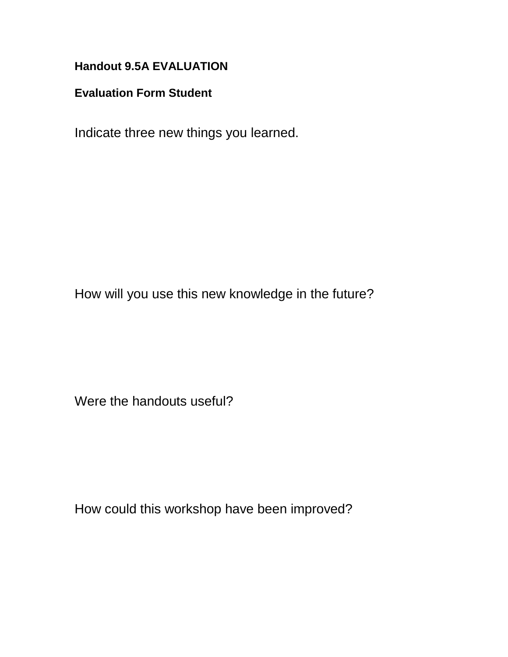## **Handout 9.5A EVALUATION**

## **Evaluation Form Student**

Indicate three new things you learned.

How will you use this new knowledge in the future?

Were the handouts useful?

How could this workshop have been improved?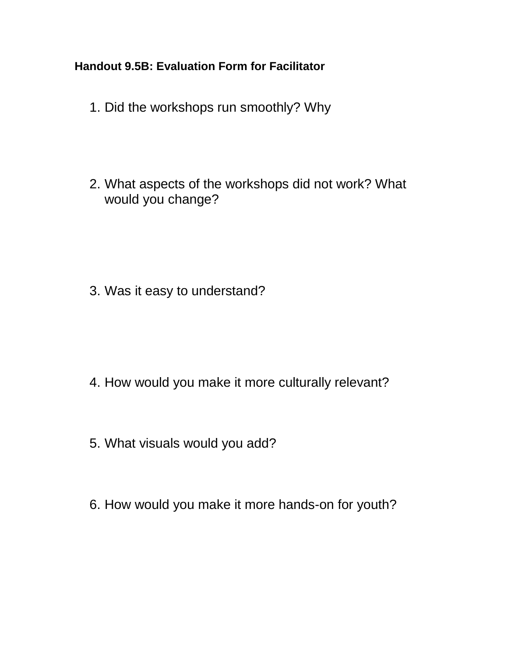## **Handout 9.5B: Evaluation Form for Facilitator**

- 1. Did the workshops run smoothly? Why
- 2. What aspects of the workshops did not work? What would you change?

3. Was it easy to understand?

- 4. How would you make it more culturally relevant?
- 5. What visuals would you add?
- 6. How would you make it more hands-on for youth?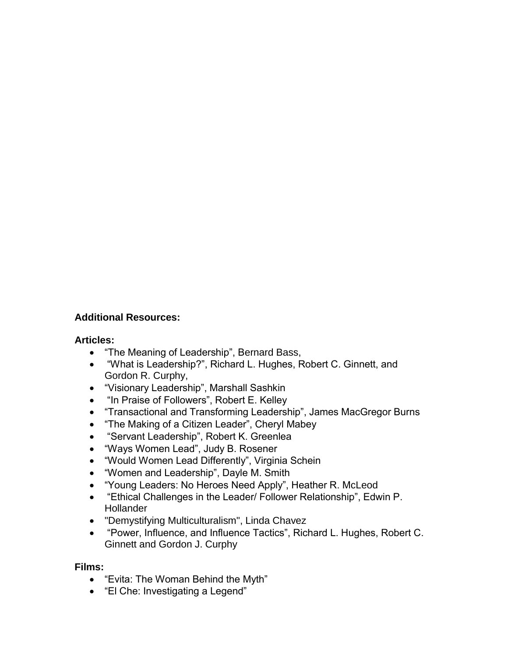#### **Additional Resources:**

#### **Articles:**

- "The Meaning of Leadership", Bernard Bass,
- ―What is Leadership?‖, Richard L. Hughes, Robert C. Ginnett, and Gordon R. Curphy,
- ―Visionary Leadership‖, Marshall Sashkin
- "In Praise of Followers", Robert E. Kelley
- ―Transactional and Transforming Leadership‖, James MacGregor Burns
- "The Making of a Citizen Leader", Cheryl Mabey
- "Servant Leadership", Robert K. Greenlea
- ―Ways Women Lead‖, Judy B. Rosener
- "Would Women Lead Differently", Virginia Schein
- "Women and Leadership", Dayle M. Smith
- ―Young Leaders: No Heroes Need Apply‖, Heather R. McLeod
- "Ethical Challenges in the Leader/ Follower Relationship", Edwin P. **Hollander**
- "Demystifying Multiculturalism", Linda Chavez
- ―Power, Influence, and Influence Tactics‖, Richard L. Hughes, Robert C. Ginnett and Gordon J. Curphy

#### **Films:**

- "Evita: The Woman Behind the Myth"
- ―El Che: Investigating a Legend‖